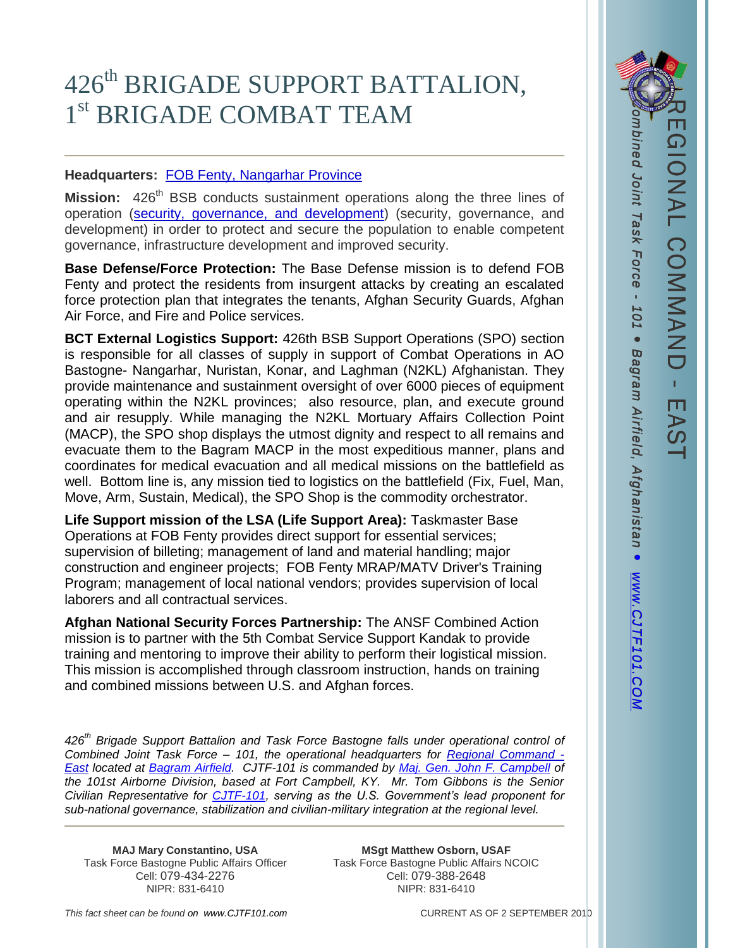## 426<sup>th</sup> BRIGADE SUPPORT BATTALION, 1<sup>st</sup> BRIGADE COMBAT TEAM

## **Headquarters:** [FOB Fenty, Nangarhar Province](http://www.isaf.nato.int/troop-numbers-and-contributions/index.php)

**Mission:** 426<sup>th</sup> BSB conducts sustainment operations along the three lines of operation [\(security, governance, and development\)](http://www.isaf.nato.int/mission.html) (security, governance, and development) in order to protect and secure the population to enable competent governance, infrastructure development and improved security.

**Base Defense/Force Protection:** The Base Defense mission is to defend FOB Fenty and protect the residents from insurgent attacks by creating an escalated force protection plan that integrates the tenants, Afghan Security Guards, Afghan Air Force, and Fire and Police services.

**BCT External Logistics Support:** 426th BSB Support Operations (SPO) section is responsible for all classes of supply in support of Combat Operations in AO Bastogne- Nangarhar, Nuristan, Konar, and Laghman (N2KL) Afghanistan. They provide maintenance and sustainment oversight of over 6000 pieces of equipment operating within the N2KL provinces; also resource, plan, and execute ground and air resupply. While managing the N2KL Mortuary Affairs Collection Point (MACP), the SPO shop displays the utmost dignity and respect to all remains and evacuate them to the Bagram MACP in the most expeditious manner, plans and coordinates for medical evacuation and all medical missions on the battlefield as well. Bottom line is, any mission tied to logistics on the battlefield (Fix, Fuel, Man, Move, Arm, Sustain, Medical), the SPO Shop is the commodity orchestrator.

**Life Support mission of the LSA (Life Support Area):** Taskmaster Base Operations at FOB Fenty provides direct support for essential services; supervision of billeting; management of land and material handling; major construction and engineer projects; FOB Fenty MRAP/MATV Driver's Training Program; management of local national vendors; provides supervision of local laborers and all contractual services.

**Afghan National Security Forces Partnership:** The ANSF Combined Action mission is to partner with the 5th Combat Service Support Kandak to provide training and mentoring to improve their ability to perform their logistical mission. This mission is accomplished through classroom instruction, hands on training and combined missions between U.S. and Afghan forces.

*426th Brigade Support Battalion and Task Force Bastogne falls under operational control of Combined Joint Task Force – 101, the operational headquarters for [Regional Command -](http://www.isaf.nato.int/troop-numbers-and-contributions/index.php) [East](http://www.isaf.nato.int/troop-numbers-and-contributions/index.php) located at [Bagram Airfield.](http://www.bagram.afcent.af.mil/) CJTF-101 is commanded by [Maj. Gen. John F. Campbell](http://www.isaf.nato.int/about-isaf/leadership/major-general-john-f.-campbell.html) of the 101st Airborne Division, based at Fort Campbell, KY. Mr. Tom Gibbons is the Senior Civilian Representative for [CJTF-101,](http://www.cjtf101.com/) serving as the U.S. Government's lead proponent for sub-national governance, stabilization and civilian-military integration at the regional level.*

Task Force Bastogne Public Affairs Officer

**MAJ Mary Constantino, USA MSgt Matthew Osborn, USAF**<br>
Force Bastogne Public Affairs Officer **Matthew Osborn, USAF** Cell: 079-434-2276 Cell: 079-388-2648 NIPR: 831-6410 NIPR: 831-6410

REGIONAL COMMAND

**NAL COMMAND** 

 $\mathbf{r}$ 

EAS

*This fact sheet can be found on www.CJTF101.com* CURRENT AS OF 2 SEPTEMBER 2010